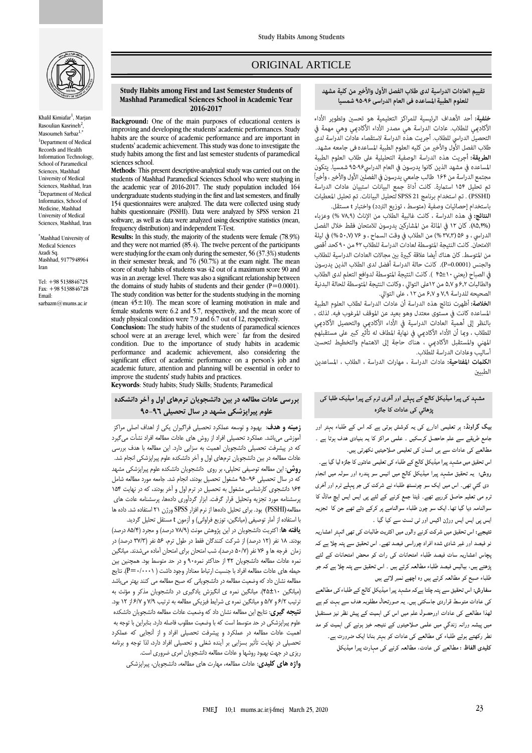

Khalil Kimiafar<sup>1</sup>, Marjan Rasoulian Kasrineh<sup>2</sup> , Masoumeh Sarbaz<sup>1,\*</sup> <sup>1</sup>Department of Medical Records and Health Information Technology, School of Paramedical Sciences, Mashhad University of Medical Sciences, Mashhad, Iran <sup>2</sup>Department of Medical Informatics, School of Medicine, Mashhad University of Medical Sciences, Mashhad, Iran

\*Mashhad University of Medical Sciences Azadi Sq. Mashhad, 9177948964 Iran

Tel: +98 5138846725 Fax: +98 5138846728 Email: sarbazm@mums.ac.ir

## ORIGINAL ARTICLE

#### **Study Habits among First and Last Semester Students of Mashhad Paramedical Sciences School in Academic Year 2016-2017**

**Background:** One of the main purposes of educational centers is improving and developing the students' academic performances. Study habits are the source of academic performance and are important in students' academic achievement. This study was done to investigate the study habits among the first and last semester students of paramedical sciences school.

**Methods**: This present descriptive-analytical study was carried out on the students of Mashhad Paramedical Sciences School who were studying in the academic year of 2016-2017. The study population included 164 undergraduate students studying in the first and last semesters, and finally 154 questionnaires were analyzed. The data were collected using study habits questionnaire (PSSHI). Data were analyzed by SPSS version 21 software, as well as data were analyzed using descriptive statistics (mean, frequency distribution) and independent T-Test.

**Results:** In this study, **t**he majority of the students were female (78.9%) and they were not married (85.4). The twelve percent of the participants were studying for the exam only during the semester, 56 (37.3%) students in their semester break, and  $76$  (50.7%) at the exam night. The mean score of study habits of students was 42 out of a maximum score 90 and was in an average level. There was also a significant relationship between the domains of study habits of students and their gender  $(P=0.0001)$ . The study condition was better for the students studying in the morning (mean  $45 \pm 10$ ). The mean score of learning motivation in male and female students were 6.2 and 5.7, respectively, and the mean score of study physical condition were 7.9 and  $6.7$  out of 12, respectively.

**Conclusion:** The study habits of the students of paramedical sciences school were at an average level, which were` far from the desired condition. Due to the importance of study habits in academic performance and academic achievement, also considering the significant effect of academic performance on a person's job and academic future, attention and planning will be essential in order to improve the students' study habits and practices.

**Keywords**: Study habits; Study Skills; Students; Paramedical

## **بررسی عادات مطالعه در بين دانشجویان ترمهاي اول و آخر دانشکده علوم پيراپزشکی مشهد در سال تحصيلی 95-96**

**زمينه و هدف**: بهبود و توسعه عملكرد تحصيلي فراگيران يكي از اهداف اصلي مراكز آموزشي ميباشد. عملكرد تحصيلي افراد از روش های عادات مطالعه افراد نشأت ميگيرد كه در پيشرفت تحصيلي دانشجويان اهميت به سزايي دارد. اين مطالعه با هدف بررسي عادات مطالعه در بين دانشجويان ترمهای اول و آخر دانشكده علوم پيراپزشكي انجام شد. **روش**: اين مطالعه توصيفي تحليلي، بر روی دانشجويان دانشكده علوم پيراپزشكي مشهد كه در سال تحصيلي 95-96 مشغول تحصيل بودند، انجام شد. جامعه مورد مطالعه شامل 164 دانشجوی كارشناسي مشغول به تحصيل در ترم اول و آخر بودند، كه در نهايت 154 پرسشنامه مورد تجزيه وتحليل قرار گرفت. ابزار گردآوری دادهها، پرسشنامه عادت های مطالعه(PSSHI (بود. برای تحليل دادهها از نرم افزار SPSS ورژن 21 استفاده شد. داده ها با استفاده از آمار توصيفي (ميانگين، توزيع فراواني) و آزمون t مستقل تحليل گرديد.

**یافته ها**: اكثريت دانشجويان در اين پژوهش مونث )78/9 درصد( و مجرد )85/4 درصد( بودند. ١٨ نفر (١٢ درصد) از شركت كنندگان فقط در طول ترم، ۵۶ نفر (٣٧/٣ درصد) در زمان فرجه ها و 76 نفر )50/7 درصد(، شب امتحان برای امتحان آماده ميشدند. ميانگين نمره عادات مطالعه دانشجويان 42 از حداكثر نمره90 و در حد متوسط بود. همچنين بين حيطه های عادات مطالعه افراد با جنسيت ارتباط معنادار وجود داشت ( P=٠/٠٠٠١). نتايج مطالعه نشان داد كه وضعيت مطالعه در دانشجوياني كه صبح مطالعه مي كنند بهتر ميباشد )ميانگين 45±10(. ميانگين نمره ی انگيزش يادگيری در دانشجويان مذكر و مؤنث به ترتيب 6/2 و 5/7 و ميانگين نمره ی شرايط فيزيكي مطالعه به ترتيب 7/9 و 6/7 از 12 بود. **نتيجه گيري**: نتايج اين مطالعهنشان داد كه وضعيت عادات مطالعه دانشجويان دانشكده علوم پيراپزشكي در حد متوسط است كه با وضعيت مطلوب فاصله دارد. بنابراين با توجه به اهميت عادات مطالعه در عملكرد و پيشرفت تحصيلي افراد و از آنجايي كه عملكرد تحصيلي در نهايت تأثير بسزايي بر آينده شغلي و تحصيلي افراد دارد، لذا توجه و برنامه ريزی در جهت بهبود روشها و عادات مطالعه دانشجويان امری ضروری است.

**واژه هاي كليدي**: عادات مطالعه، مهارت های مطالعه، دانشجويان، پيراپزشكي

#### تقييم العادات الدراسية لدى طلاب الفصل الأول والأخير من كلية مشهد للعلوم الطبية المساعده في العام الدراسي ٩٤-٩٥ شمسيا

ص

خلفية: أحد الأهداف الرئيسية للمراكز التعليمية هو تحسين وتطوير الأداء الأكاديمي للطلاب. عادات الدراسة هي مصدر الأداء الأكاديمي وهي مهمة في التحصيل الدراسي للطلاب. أجريت هذه الدراسة لاستقصاء عادات الدراسة لدى طلاب الفصل الأول والأخير من كليه العلوم الطبية المساعده في جامعه مشهد. الطريقة: أجريت هذه الدراسة الوصفية التحليلية على طلاب العلوم الطبية المساعده في مشهد الذين كانوا يدرسون في العام الدراسي٩٤-٩۵ شمسيا. يتكون مجتمع الدراسة من ١۶۴ طالب جامعي يدرسون في الفصلين الأول والأخير ، وأخيراً .<br>تم تحليل ١٥۴ استمارة. كانت أداة جمع البيانات استبيان عادات الدراسة. (PSSHI) . تم استخدام برنامج SPSS 21 لتحليل البيانات. تم تحليل المعطيات باستخدام إحصائيات وصفية (متوسط ، توزيع التردد) واختبار t مستقل.

النتائج: في هذه الدراسة ، كانت غالبية الطلاب من الإناث (٧٨,٩ %) وعزباء (٨٥,۴%). كان ١٢ في المائة من المشاركين يدرسون للامتحان فقط خلال الفصل الدراسي ، و ٥۶ (٣٧,٣ %) من الطلاب في وقت السماح ، و ٧۶ (٥٠,٧ %) في ليلة الامتحان. كانت النتيجة المتوسطة لعادات الدراسة للطلاب ۴۲ من ٩٠ كحد أقصى من المتوسط. كان هناك أيضا علاقة كبيرة بين مجالات العادات الدراسية للطلاب والجنس (P=0.0001). كانت حالة الدراسة أفضل لدى الطلاب الذين يدرسون في الصباح (يعني ٤٠±۴٥ ). كانت النتيجة المتوسطة لدوافع التعلم لدى الطلاب والطالبات ٤,٢ و ٥,٧ من ١٢على التوالي ، وكانت النتيجة المتوسطة للحالة البدنية الصحيحه للدراسة ٧٫٩ و ۶٫۷ من ١٢ ، على التوالي.

**الخلاصة:** أظهرت نتائج هذه الدراسة أن عادات الدراسة لطلاب العلوم الطبية المساعده كانت في مستوى معتدل وهو بعيد عن الموقف المرغوب فيه. لذلك ، بالنظر إلى أهمية العادات الدراسية في الأداء الأكاديمى والتحصيل الأكاديمى للطلاب ، وبما أن الأداء الأكاديمي في نهاية المطاف له تأثير كبير على مستقبلهم المهني والمستقبل الأكادهي ، هناك حاجة إلى الاهتمام والتخطيط لتحسين أساليب وعادات الدراسة للطلاب.

الكلمات المفتاحية: عادات الدراسة ، مهارات الدراسة ، الطلاب ، المساعدين الطسن

## مشہد کی پیرا میڈیکل کالج کے پہلے اور آخری ٹرم کے پیرا میڈیک طلبا کی یڑھائی کی عادات کا جائزہ

بیگ گراونڈ: ہر تعلیمی ادار<sub>ے</sub> کی یہ کوشش ہوتی ہے کہ اس کے طلباء بہتر اور جامع طریقے سے علم حاحصل کرسکیں ۔ علمی مراکز کا یہ بنیادی ہدف ہوتا ہے ۔ مطالعے کی عادات سے ہی انسان کی تعلیمی صلاحیتیں نکھرتی ہیں۔

اس تحقیق میں مشہد پیرا میڈیکل کالج کے طلباء کی تعلیمی عادتوں کا جائزہ لیا گیا ہے۔ روش: یہ تحقیق مشہد پیرا میڈیکل کالج میں انیس سو پندرہ اور سولہ میں انجام دی گئی تھی۔ اس میں ایک سو چونسٹھ طلباء نے شرکت کی جو پہلے ٹرم اور آخری ٹرم می تعلیم حاصل کررہے تھے۔ ڈیٹا جمع کرنے کے لئے پی ایس ایس ایچ ماڈل کا سوالنامہ دیا گیا تھا۔ ایک سو چون طلباء سوالنامے پر کرکے دئے تھے جن کا تجزیہ ایس پی ایس ایس ورژن اکیس اور ٹی ٹسٹ سے کیا گیا ۔

نتیجے: اس تحقیق میں شرکت کرنے والوں میں اکثریت طالبات کی تھی اتٰہتر اعشاریہ نو فیصد اور غیر شادی شدہ افراد چوراسی فیصد تھے۔ اس تحقیق سے پتہ چلا ہے کہ یچاس اعشاریہ سات فیصد طلباء امتحانات کی رات کو محض امتحانات کے لئے پڑھتے ہیں، بیالیس فیصد طلباء مطالعہ کرتے ہیں ۔ اس تحقیق سے پتہ چلا ہے کہ جو طلباء صبح کو مطالعہ کرتے ہیں وہ اچھے نمبر لاتے ہیں

سفارش: اس تحقیق سے پتہ چلتا ہےکہ مشہد پیرا میڈیکل کالج کے طلباء کی مطالعے کی عادات متوسط قراردی جاسکتی ہیں۔ یہ صورتحال مطلوبہ ہدف سے بہت کم ہے لھذا مطالعے کی عادات اورحصول علم میں اس کی اہمیت کے پیش نظر نیز مستقبل میں پیشہ ورانہ زندگی میں علمی صلاحیتوں کے نتیجہ خیز پونے کی اہمیت کو مد نطر رکھتے ہوئے طلباء کی مطالعے کی عادات کو بہتر بنانا ایک ضرورت ہے۔ کلیدی الفاظ : مطالعے کی عادت، مطالعہ کرنے کی مہارت پیرا میڈیکل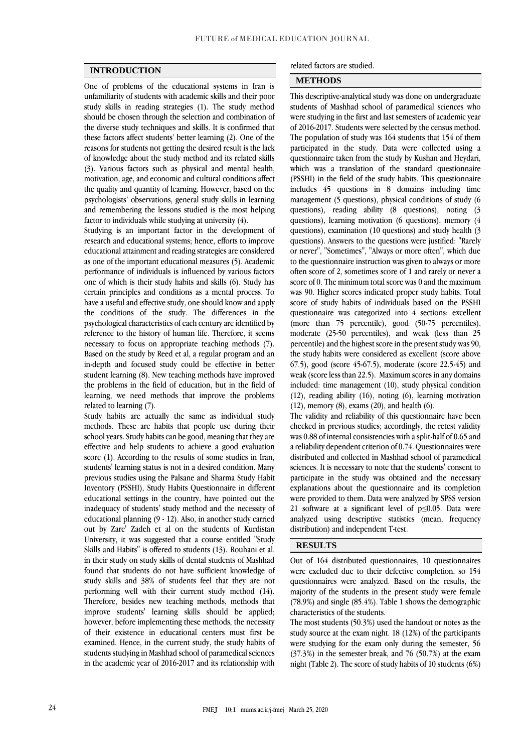### **INTRODUCTION**

One of problems of the educational systems in Iran is unfamiliarity of students with academic skills and their poor study skills in reading strategies (1). The study method should be chosen through the selection and combination of the diverse study techniques and skills. It is confirmed that these factors affect students' better learning (2). One of the reasons for students not getting the desired result is the lack of knowledge about the study method and its related skills (3). Various factors such as physical and mental health, motivation, age, and economic and cultural conditions affect the quality and quantity of learning. However, based on the psychologists' observations, general study skills in learning and remembering the lessons studied is the most helping factor to individuals while studying at university (4).

Studying is an important factor in the development of research and educational systems; hence, efforts to improve educational attainment and reading strategies are considered as one of the important educational measures (5). Academic performance of individuals is influenced by various factors one of which is their study habits and skills (6). Study has certain principles and conditions as a mental process. To have a useful and effective study, one should know and apply the conditions of the study. The differences in the psychological characteristics of each century are identified by reference to the history of human life. Therefore, it seems necessary to focus on appropriate teaching methods (7). Based on the study by Reed et al, a regular program and an in-depth and focused study could be effective in better student learning (8). New teaching methods have improved the problems in the field of education, but in the field of learning, we need methods that improve the problems related to learning (7).

Study habits are actually the same as individual study methods. These are habits that people use during their school years. Study habits can be good, meaning that they are effective and help students to achieve a good evaluation score (1). According to the results of some studies in Iran, students' learning status is not in a desired condition. Many previous studies using the Palsane and Sharma Study Habit Inventory (PSSHI), Study Habits Questionnaire in different educational settings in the country, have pointed out the inadequacy of students' study method and the necessity of educational planning (9 - 12). Also, in another study carried out by Zare' Zadeh et al on the students of Kurdistan University, it was suggested that a course entitled "Study Skills and Habits" is offered to students (13). Rouhani et al. in their study on study skills of dental students of Mashhad found that students do not have sufficient knowledge of study skills and 38% of students feel that they are not performing well with their current study method (14). Therefore, besides new teaching methods, methods that improve students' learning skills should be applied; however, before implementing these methods, the necessity of their existence in educational centers must first be examined. Hence, in the current study, the study habits of students studying in Mashhad school of paramedical sciences in the academic year of 2016-2017 and its relationship with related factors are studied.

#### **METHODS**

This descriptive-analytical study was done on undergraduate students of Mashhad school of paramedical sciences who were studying in the first and last semesters of academic year of 2016-2017. Students were selected by the census method. The population of study was 164 students that 154 of them participated in the study. Data were collected using a questionnaire taken from the study by Kushan and Heydari, which was a translation of the standard questionnaire (PSSHI) in the field of the study habits. This questionnaire includes 45 questions in 8 domains including time management (5 questions), physical conditions of study (6 questions), reading ability (8 questions), noting (3 questions), learning motivation (6 questions), memory (4 questions), examination (10 questions) and study health (3 questions). Answers to the questions were justified: "Rarely or never", "Sometimes", "Always or more often", which due to the questionnaire instruction was given to always or more often score of 2, sometimes score of 1 and rarely or never a score of 0. The minimum total score was 0 and the maximum was 90. Higher scores indicated proper study habits. Total score of study habits of individuals based on the PSSHI questionnaire was categorized into 4 sections: excellent (more than 75 percentile), good (50-75 percentiles), moderate (25-50 percentiles), and weak (less than 25 percentile) and the highest score in the present study was 90, the study habits were considered as excellent (score above 67.5), good (score 45-67.5), moderate (score 22.5-45) and weak (score less than 22.5). Maximum scores in any domains included: time management (10), study physical condition (12), reading ability (16), noting (6), learning motivation (12), memory (8), exams (20), and health (6).

The validity and reliability of this questionnaire have been checked in previous studies; accordingly, the retest validity was 0.88 of internal consistencies with a split-half of 0.65 and a reliability dependent criterion of 0.74. Questionnaires were distributed and collected in Mashhad school of paramedical sciences. It is necessary to note that the students' consent to participate in the study was obtained and the necessary explanations about the questionnaire and its completion were provided to them. Data were analyzed by SPSS version 21 software at a significant level of p≤0.05. Data were analyzed using descriptive statistics (mean, frequency distribution) and independent T-test.

## **RESULTS**

Out of 164 distributed questionnaires, 10 questionnaires were excluded due to their defective completion, so 154 questionnaires were analyzed. Based on the results, the majority of the students in the present study were female (78.9%) and single (85.4%). Table 1 shows the demographic characteristics of the students.

The most students (50.3%) used the handout or notes as the study source at the exam night. 18 (12%) of the participants were studying for the exam only during the semester, 56 (37.3%) in the semester break, and 76 (50.7%) at the exam night (Table 2). The score of study habits of 10 students (6%)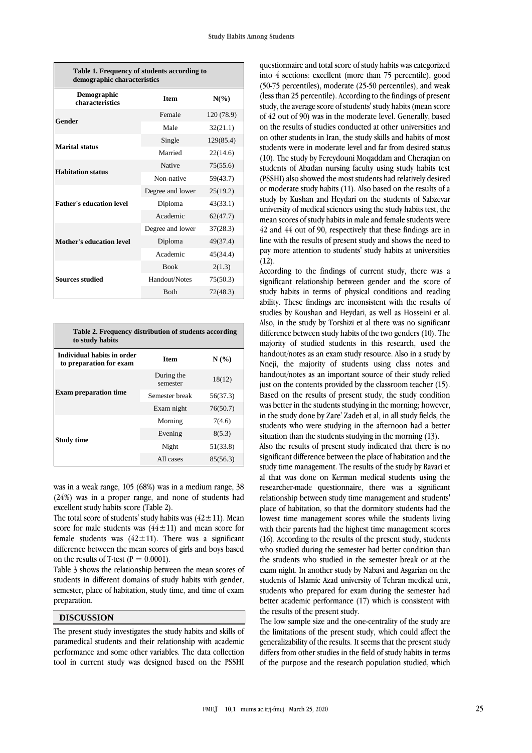| Table 1. Frequency of students according to<br>demographic characteristics |                  |            |  |  |  |  |  |  |
|----------------------------------------------------------------------------|------------------|------------|--|--|--|--|--|--|
| Demographic<br>characteristics                                             | <b>Item</b>      | $N(\%)$    |  |  |  |  |  |  |
| Gender                                                                     | Female           | 120 (78.9) |  |  |  |  |  |  |
|                                                                            | Male             | 32(21.1)   |  |  |  |  |  |  |
| <b>Marital status</b>                                                      | Single           | 129(85.4)  |  |  |  |  |  |  |
|                                                                            | Married          | 22(14.6)   |  |  |  |  |  |  |
| <b>Habitation status</b>                                                   | <b>Native</b>    | 75(55.6)   |  |  |  |  |  |  |
|                                                                            | Non-native       | 59(43.7)   |  |  |  |  |  |  |
|                                                                            | Degree and lower | 25(19.2)   |  |  |  |  |  |  |
| <b>Father's education level</b>                                            | Diploma          | 43(33.1)   |  |  |  |  |  |  |
|                                                                            | Academic         | 62(47.7)   |  |  |  |  |  |  |
|                                                                            | Degree and lower | 37(28.3)   |  |  |  |  |  |  |
| <b>Mother's education level</b>                                            | Diploma          | 49(37.4)   |  |  |  |  |  |  |
|                                                                            | Academic         | 45(34.4)   |  |  |  |  |  |  |
|                                                                            | <b>Book</b>      | 2(1.3)     |  |  |  |  |  |  |
| <b>Sources studied</b>                                                     | Handout/Notes    | 75(50.3)   |  |  |  |  |  |  |
|                                                                            | <b>Both</b>      | 72(48.3)   |  |  |  |  |  |  |

| Table 2. Frequency distribution of students according<br>to study habits |                        |          |  |  |  |  |  |  |
|--------------------------------------------------------------------------|------------------------|----------|--|--|--|--|--|--|
| Individual habits in order<br>to preparation for exam                    | <b>Item</b>            | N(%      |  |  |  |  |  |  |
|                                                                          | During the<br>semester | 18(12)   |  |  |  |  |  |  |
| <b>Exam preparation time</b>                                             | Semester break         | 56(37.3) |  |  |  |  |  |  |
|                                                                          | Exam night             | 76(50.7) |  |  |  |  |  |  |
|                                                                          | Morning                | 7(4.6)   |  |  |  |  |  |  |
| <b>Study time</b>                                                        | Evening                | 8(5.3)   |  |  |  |  |  |  |
|                                                                          | Night                  | 51(33.8) |  |  |  |  |  |  |
|                                                                          | All cases              | 85(56.3) |  |  |  |  |  |  |

was in a weak range, 105 (68%) was in a medium range, 38 (24%) was in a proper range, and none of students had excellent study habits score (Table 2).

The total score of students' study habits was  $(42 \pm 11)$ . Mean score for male students was  $(44 \pm 11)$  and mean score for female students was  $(42 \pm 11)$ . There was a significant difference between the mean scores of girls and boys based on the results of T-test ( $P = 0.0001$ ).

Table 3 shows the relationship between the mean scores of students in different domains of study habits with gender, semester, place of habitation, study time, and time of exam preparation.

#### **DISCUSSION**

The present study investigates the study habits and skills of paramedical students and their relationship with academic performance and some other variables. The data collection tool in current study was designed based on the PSSHI

questionnaire and total score of study habits was categorized into 4 sections: excellent (more than 75 percentile), good (50-75 percentiles), moderate (25-50 percentiles), and weak (less than 25 percentile). According to the findings of present study, the average score of students' study habits (mean score of 42 out of 90) was in the moderate level. Generally, based on the results of studies conducted at other universities and on other students in Iran, the study skills and habits of most students were in moderate level and far from desired status (10). The study by Fereydouni Moqaddam and Cheraqian on students of Abadan nursing faculty using study habits test (PSSHI) also showed the most students had relatively desired or moderate study habits (11). Also based on the results of a study by Kushan and Heydari on the students of Sabzevar university of medical sciences using the study habits test, the mean scores of study habits in male and female students were 42 and 44 out of 90, respectively that these findings are in line with the results of present study and shows the need to pay more attention to students' study habits at universities  $(12).$ 

According to the findings of current study, there was a significant relationship between gender and the score of study habits in terms of physical conditions and reading ability. These findings are inconsistent with the results of studies by Koushan and Heydari, as well as Hosseini et al. Also, in the study by Torshizi et al there was no significant difference between study habits of the two genders (10). The majority of studied students in this research, used the handout/notes as an exam study resource. Also in a study by Nneji, the majority of students using class notes and handout/notes as an important source of their study relied just on the contents provided by the classroom teacher (15). Based on the results of present study, the study condition was better in the students studying in the morning; however, in the study done by Zare' Zadeh et al, in all study fields, the students who were studying in the afternoon had a better situation than the students studying in the morning (13).

Also the results of present study indicated that there is no significant difference between the place of habitation and the study time management. The results of the study by Ravari et al that was done on Kerman medical students using the researcher-made questionnaire, there was a significant relationship between study time management and students' place of habitation, so that the dormitory students had the lowest time management scores while the students living with their parents had the highest time management scores (16). According to the results of the present study, students who studied during the semester had better condition than the students who studied in the semester break or at the exam night. In another study by Nabavi and Asgarian on the students of Islamic Azad university of Tehran medical unit, students who prepared for exam during the semester had better academic performance (17) which is consistent with the results of the present study.

The low sample size and the one-centrality of the study are the limitations of the present study, which could affect the generalizability of the results. It seems that the present study differs from other studies in the field of study habits in terms of the purpose and the research population studied, which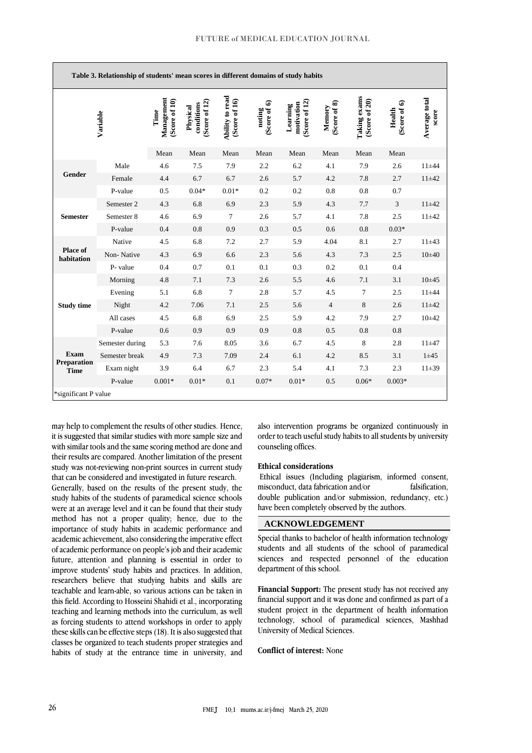| Table 3. Relationship of students' mean scores in different domains of study habits |                 |                                     |                                         |                                  |                        |                                        |                        |                                      |                        |                        |
|-------------------------------------------------------------------------------------|-----------------|-------------------------------------|-----------------------------------------|----------------------------------|------------------------|----------------------------------------|------------------------|--------------------------------------|------------------------|------------------------|
|                                                                                     | Variable        | Management<br>(Score of 10)<br>Time | (Score of 12)<br>conditions<br>Physical | Ability to read<br>(Score of 16) | (Score of 6)<br>noting | Score of 12)<br>motivation<br>Learning | (Score of 8)<br>Memory | <b>Taking exams</b><br>(Score of 20) | (Score of 6)<br>Health | Average total<br>score |
|                                                                                     |                 | Mean                                | Mean                                    | Mean                             | Mean                   | Mean                                   | Mean                   | Mean                                 | Mean                   |                        |
| Gender                                                                              | Male            | 4.6                                 | 7.5                                     | 7.9                              | 2.2                    | 6.2                                    | 4.1                    | 7.9                                  | 2.6                    | $11 + 44$              |
|                                                                                     | Female          | 4.4                                 | 6.7                                     | 6.7                              | 2.6                    | 5.7                                    | 4.2                    | 7.8                                  | 2.7                    | $11 + 42$              |
|                                                                                     | P-value         | 0.5                                 | $0.04*$                                 | $0.01*$                          | 0.2                    | 0.2                                    | 0.8                    | 0.8                                  | 0.7                    |                        |
| <b>Semester</b>                                                                     | Semester 2      | 4.3                                 | 6.8                                     | 6.9                              | 2.3                    | 5.9                                    | 4.3                    | 7.7                                  | 3                      | $11 + 42$              |
|                                                                                     | Semester 8      | 4.6                                 | 6.9                                     | $\tau$                           | 2.6                    | 5.7                                    | 4.1                    | 7.8                                  | 2.5                    | $11 + 42$              |
|                                                                                     | P-value         | 0.4                                 | 0.8                                     | 0.9                              | 0.3                    | 0.5                                    | 0.6                    | 0.8                                  | $0.03*$                |                        |
| <b>Place of</b><br>habitation                                                       | Native          | 4.5                                 | 6.8                                     | 7.2                              | 2.7                    | 5.9                                    | 4.04                   | 8.1                                  | 2.7                    | $11 + 43$              |
|                                                                                     | Non-Native      | 4.3                                 | 6.9                                     | 6.6                              | 2.3                    | 5.6                                    | 4.3                    | 7.3                                  | 2.5                    | $10\pm 40$             |
|                                                                                     | P- value        | 0.4                                 | 0.7                                     | 0.1                              | 0.1                    | 0.3                                    | 0.2                    | 0.1                                  | 0.4                    |                        |
| <b>Study time</b>                                                                   | Morning         | 4.8                                 | 7.1                                     | 7.3                              | 2.6                    | 5.5                                    | 4.6                    | 7.1                                  | 3.1                    | $10 + 45$              |
|                                                                                     | Evening         | 5.1                                 | 6.8                                     | $\tau$                           | 2.8                    | 5.7                                    | 4.5                    | 7                                    | 2.5                    | $11 + 44$              |
|                                                                                     | Night           | 4.2                                 | 7.06                                    | 7.1                              | 2.5                    | 5.6                                    | $\overline{4}$         | $\,8\,$                              | 2.6                    | $11 + 42$              |
|                                                                                     | All cases       | 4.5                                 | 6.8                                     | 6.9                              | 2.5                    | 5.9                                    | 4.2                    | 7.9                                  | 2.7                    | $10 + 42$              |
|                                                                                     | P-value         | 0.6                                 | 0.9                                     | 0.9                              | 0.9                    | 0.8                                    | 0.5                    | 0.8                                  | 0.8                    |                        |
| <b>Exam</b><br><b>Preparation</b><br><b>Time</b>                                    | Semester during | 5.3                                 | 7.6                                     | 8.05                             | 3.6                    | 6.7                                    | 4.5                    | 8                                    | 2.8                    | $11 + 47$              |
|                                                                                     | Semester break  | 4.9                                 | 7.3                                     | 7.09                             | 2.4                    | 6.1                                    | 4.2                    | 8.5                                  | 3.1                    | $1 + 45$               |
|                                                                                     | Exam night      | 3.9                                 | 6.4                                     | 6.7                              | 2.3                    | 5.4                                    | 4.1                    | 7.3                                  | 2.3                    | $11 + 39$              |
|                                                                                     | P-value         | $0.001*$                            | $0.01*$                                 | 0.1                              | $0.07*$                | $0.01*$                                | 0.5                    | $0.06*$                              | $0.003*$               |                        |
| *significant P value                                                                |                 |                                     |                                         |                                  |                        |                                        |                        |                                      |                        |                        |

may help to complement the results of other studies. Hence, it is suggested that similar studies with more sample size and with similar tools and the same scoring method are done and their results are compared. Another limitation of the present study was not-reviewing non-print sources in current study that can be considered and investigated in future research.

Generally, based on the results of the present study, the study habits of the students of paramedical science schools were at an average level and it can be found that their study method has not a proper quality; hence, due to the importance of study habits in academic performance and academic achievement, also considering the imperative effect of academic performance on people's job and their academic future, attention and planning is essential in order to improve students' study habits and practices. In addition, researchers believe that studying habits and skills are teachable and learn-able, so various actions can be taken in this field. According to Hosseini Shahidi et al., incorporating teaching and learning methods into the curriculum, as well as forcing students to attend workshops in order to apply these skills can be effective steps (18). It is also suggested that classes be organized to teach students proper strategies and habits of study at the entrance time in university, and

also intervention programs be organized continuously in order to teach useful study habits to all students by university counseling offices.

#### **Ethical considerations**

Ethical issues (Including plagiarism, informed consent, misconduct, data fabrication and/or falsification, double publication and/or submission, redundancy, etc.) have been completely observed by the authors.

# **ACKNOWLEDGEMENT**

Special thanks to bachelor of health information technology students and all students of the school of paramedical sciences and respected personnel of the education department of this school.

**Financial Support:** The present study has not received any financial support and it was done and confirmed as part of a student project in the department of health information technology, school of paramedical sciences, Mashhad University of Medical Sciences.

## **Conflict of interest:** None